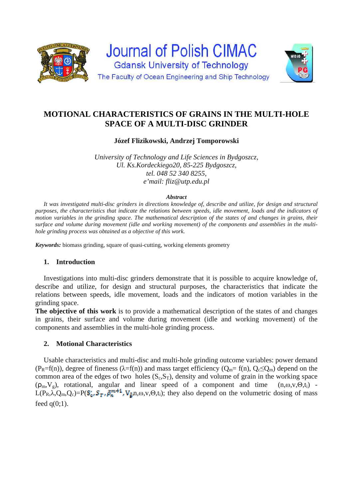

## **MOTIONAL CHARACTERISTICS OF GRAINS IN THE MULTI-HOLE SPACE OF A MULTI-DISC GRINDER**

**Józef Flizikowski, Andrzej Tomporowski** 

*University of Technology and Life Sciences in Bydgoszcz, Ul. Ks.Kordeckiego20, 85-225 Bydgoszcz, tel. 048 52 340 8255, e'mail: fliz@utp.edu.pl* 

#### *Abstract*

*It was investigated multi-disc grinders in directions knowledge of, describe and utilize, for design and structural purposes, the characteristics that indicate the relations between speeds, idle movement, loads and the indicators of motion variables in the grinding space. The mathematical description of the states of and changes in grains, their surface and volume during movement (idle and working movement) of the components and assemblies in the multihole grinding process was obtained as a objective of this work.* 

*Keywords:* biomass grinding, square of quasi-cutting, working elements geometry

## **1. Introduction**

Investigations into multi-disc grinders demonstrate that it is possible to acquire knowledge of, describe and utilize, for design and structural purposes, the characteristics that indicate the relations between speeds, idle movement, loads and the indicators of motion variables in the grinding space.

**The objective of this work** is to provide a mathematical description of the states of and changes in grains, their surface and volume during movement (idle and working movement) of the components and assemblies in the multi-hole grinding process.

## **2. Motional Characteristics**

Usable characteristics and multi-disc and multi-hole grinding outcome variables: power demand  $(P_R=f(n))$ , degree of fineness ( $\lambda=f(n)$ ) and mass target efficiency ( $Q_m=f(n)$ ,  $Q_c\leq Q_m$ ) depend on the common area of the edges of two holes  $(S_c, S_T)$ , density and volume of grain in the working space  $(\rho_m, V_g)$ , rotational, angular and linear speed of a component and time  $(n, \omega, v, \Theta, t_i)$  - $L(P_R, \lambda, Q_m, Q_c) = P(\mathbf{S}_q, \mathbf{S}_r, \tilde{\beta}_m^{m+1}, V_s, m, \omega, v, \Theta, t_i)$ ; they also depend on the volumetric dosing of mass feed  $q(0;1)$ .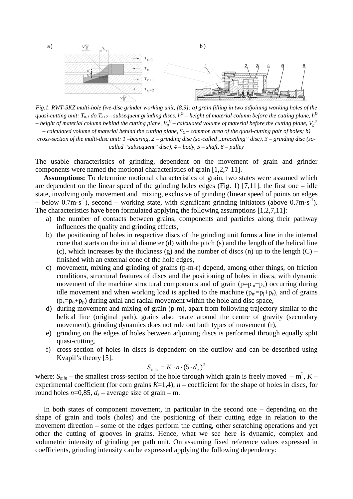

*Fig.1. RWT-5KZ multi-hole five-disc grinder working unit, [8,9]: a) grain filling in two adjoining working holes of the quasi-cutting unit:*  $T_{n-1}$  do  $T_{n+2}$  – *subsequent grinding discs,*  $h^G$  – height of material column before the cutting plane,  $h^D$ – height of material column behind the cutting plane,  $V_g^G$ – calculated volume of material before the cutting plane,  $V_g^D$  $-$  calculated volume of material behind the cutting plane,  $S_C$  – common area of the quasi-cutting pair of holes; b)

*cross-section of the multi-disc unit: 1 –bearing, 2 – grinding disc (so-called "preceding" disc), 3 – grinding disc (socalled "subsequent" disc), 4 – body, 5 – shaft, 6 – pulley* 

The usable characteristics of grinding, dependent on the movement of grain and grinder components were named the motional characteristics of grain [1,2,7-11].

**Assumptions:** To determine motional characteristics of grain, two states were assumed which are dependent on the linear speed of the grinding holes edges (Fig. 1) [7,11]: the first one – idle state, involving only movement and mixing, exclusive of grinding (linear speed of points on edges – below 0.7m·s<sup>-1</sup>), second – working state, with significant grinding initiators (above 0.7m·s<sup>-1</sup>). The characteristics have been formulated applying the following assumptions [1,2,7,11]:

- a) the number of contacts between grains, components and particles along their pathway influences the quality and grinding effects,
- b) the positioning of holes in respective discs of the grinding unit forms a line in the internal cone that starts on the initial diameter (d) with the pitch (s) and the length of the helical line (c), which increases by the thickness (g) and the number of discs (n) up to the length  $(C)$  – finished with an external cone of the hole edges,
- c) movement, mixing and grinding of grains (p-m-r) depend, among other things, on friction conditions, structural features of discs and the positioning of holes in discs, with dynamic movement of the machine structural components and of grain  $(p=p_m+p_z)$  occurring during idle movement and when working load is applied to the machine  $(p_m=p_i+p_r)$ , and of grains  $(p_z=p_0+p_p)$  during axial and radial movement within the hole and disc space,
- d) during movement and mixing of grain (p-m), apart from following trajectory similar to the helical line (original path), grains also rotate around the centre of gravity (secondary movement); grinding dynamics does not rule out both types of movement (r),
- e) grinding on the edges of holes between adjoining discs is performed through equally split quasi-cutting,
- f) cross-section of holes in discs is dependent on the outflow and can be described using Kvapil's theory [5]:

$$
S_{\min} = K \cdot n \cdot (5 \cdot d_z)^2
$$

where:  $S_{min}$  – the smallest cross-section of the hole through which grain is freely moved –  $m^2$ ,  $K$  – experimental coefficient (for corn grains  $K=1,4$ ),  $n$  – coefficient for the shape of holes in discs, for round holes  $n=0.85$ ,  $d_z$  – average size of grain – m.

In both states of component movement, in particular in the second one – depending on the shape of grain and tools (holes) and the positioning of their cutting edge in relation to the movement direction – some of the edges perform the cutting, other scratching operations and yet other the cutting of grooves in grains. Hence, what we see here is dynamic, complex and volumetric intensity of grinding per path unit. On assuming fixed reference values expressed in coefficients, grinding intensity can be expressed applying the following dependency: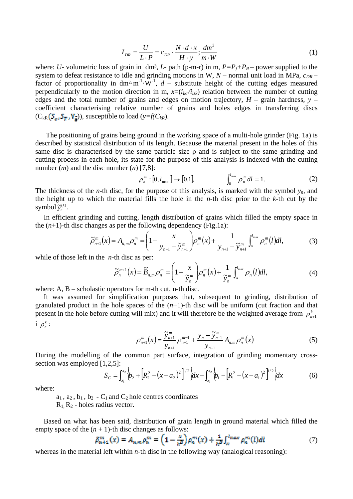$$
I_{DR} = \frac{U}{L \cdot P} = c_{DR} \cdot \frac{N \cdot d \cdot x}{H \cdot y}; \frac{dm^3}{m \cdot W}
$$
 (1)

where: *U*- volumetric loss of grain in dm<sup>3</sup>, *L*- path (p-m-r) in m,  $P = P_i + P_R$  – power supplied to the system to defeat resistance to idle and grinding motions in W,  $N$  – normal unit load in MPa,  $c_{DR}$  – factor of proportionality in dm<sup>2</sup>·m<sup>-1</sup>·W<sup>-1</sup>,  $d$  – substitute height of the cutting edges measured perpendicularly to the motion direction in m,  $x=(i_{lkr}/i_{lzk})$  relation between the number of cutting edges and the total number of grains and edges on motion trajectory,  $H$  – grain hardness,  $y$  – coefficient characterising relative number of grains and holes edges in transferring discs  $(C_{kR} (S_{\alpha k} S_{\overline{k}} , V_{\overline{\alpha}}))$ , susceptible to load  $(y=f(C_{kR})$ .

The positioning of grains being ground in the working space of a multi-hole grinder (Fig. 1a) is described by statistical distribution of its length. Because the material present in the holes of this same disc is characterised by the same particle size  $\rho$  and is subject to the same grinding and cutting process in each hole, its state for the purpose of this analysis is indexed with the cutting number (*m*) and the disc number (*n*) [7,8]:

$$
\rho_n^m : [0, l_{\max}] \to [0,1], \qquad \int_0^{l_{\max}} \rho_n^m dl = 1. \qquad (2)
$$

The thickness of the *n*-th disc, for the purpose of this analysis, is marked with the symbol  $y_n$ , and the height up to which the material fills the hole in the *n*-th disc prior to the *k*-th cut by the symbol  $\widetilde{y}_n^{(k)}$ .

In efficient grinding and cutting, length distribution of grains which filled the empty space in the  $(n+1)$ -th disc changes as per the following dependency (Fig.1a):

$$
\widetilde{\rho}_{n+1}^{m}(x) = A_{n,m} \rho_{n}^{m} = \left(1 - \frac{x}{y_{n+1} - \widetilde{y}_{n+1}^{m}}\right) \rho_{n}^{m}(x) + \frac{1}{y_{n+1} - \widetilde{y}_{n+1}^{m}} \int_{x}^{l_{\max}} \rho_{n}^{m}(l) dl,
$$
\n(3)

while of those left in the *n*-th disc as per:

$$
\widetilde{\rho}_n^{m+1}(x) = \widetilde{B}_{n,m} \rho_n^m = \left(1 - \frac{x}{\widetilde{y}_n^m}\right) \rho_n^m(x) + \frac{1}{\widetilde{y}_n^m} \int_x^{\ell_{\text{max}}} \rho_n\left(l\right) dl,
$$
\n(4)

where:  $A$ ,  $B$  – scholastic operators for m-th cut, n-th disc.

It was assumed for simplification purposes that, subsequent to grinding, distribution of granulated product in the hole spaces of the  $(n+1)$ -th disc will be uniform (cut fraction and that present in the hole before cutting will mix) and it will therefore be the weighted average from  $\rho_{n+1}^k$  $i \rho_n^k$ :

$$
\rho_{n+1}^{m}(x) = \frac{\widetilde{y}_{n+1}^{m}}{y_{n+1}} \rho_{n+1}^{m-1} + \frac{y_{n} - \widetilde{y}_{n+1}^{m}}{y_{n+1}} A_{n,m} \rho_{n}^{m}(x)
$$
(5)

During the modelling of the common part surface, integration of grinding momentary crosssection was employed [1,2,5]:

$$
S_C = \int_{x_1}^{x_2} \left\{ b_2 + \left[ R_2^2 - (x - a_2)^2 \right]^{1/2} \right\} dx - \int_{x_1}^{x_2} \left\{ b_1 - \left[ R_1^2 - (x - a_1)^2 \right]^{1/2} \right\} dx \tag{6}
$$

where:

 $a_1$ ,  $a_2$ ,  $b_1$ ,  $b_2$  -  $C_1$  and  $C_2$  hole centres coordinates

 $R_1, R_2$  - holes radius vector.

Based on what has been said, distribution of grain length in ground material which filled the empty space of the  $(n + 1)$ -th disc changes as follows:

$$
\tilde{\rho}_{n+1}^{m}(x) = A_{n,m} \rho_n^{m} = \left(1 - \frac{x}{h^p}\right) \rho_n^{m}(x) + \frac{1}{h^p} \int_{\infty}^{l_{\text{max}}} \rho_n^{m}(l) dl \tag{7}
$$

whereas in the material left within *n*-th disc in the following way (analogical reasoning):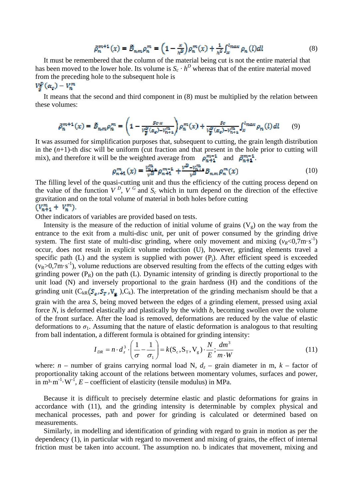$$
\tilde{\rho}_n^{m+1}(x) = \tilde{B}_{n,m} \rho_n^m = \left(1 - \frac{x}{h^D}\right) \rho_n^m(x) + \frac{1}{h^G} \int_{\infty}^{l_{max}} \rho_n(l) dl \tag{8}
$$

It must be remembered that the column of the material being cut is not the entire material that has been moved to the lower hole. Its volume is  $S_c \cdot h^D$  whereas that of the entire material moved from the preceding hole to the subsequent hole is

 $V^{\rm p}_s(\alpha_o)-V^m_n$ 

It means that the second and third component in (8) must be multiplied by the relation between these volumes:

$$
\tilde{\rho}_n^{m+1}(x) = \tilde{B}_{n,m} \rho_n^m = \left(1 - \frac{s_0 x}{v_{\tilde{p}}^0(a_e) - v_{n+1}^m}\right) \rho_n^m(x) + \frac{s_0}{v_{\tilde{p}}^0(a_e) - v_{n+1}^m} \int_x^{t_{\text{max}}} \rho_n(l) \, dl \tag{9}
$$

It was assumed for simplification purposes that, subsequent to cutting, the grain length distribution in the  $(n+1)$ -th disc will be uniform (cut fraction and that present in the hole prior to cutting will mix), and therefore it will be the weighted average from  $\rho_{n+1}^{m-1}$  and  $\rho_{n+1}^{m-1}$ .

$$
\rho_{n+1}^{m}(x) = \frac{\nu_{n+1}^{m}}{\nu^{B}} \rho_{n+1}^{m-1} + \frac{\nu^{B} - \nu_{n+1}^{m}}{\nu^{B}} B_{n,m} \rho_{n}^{m}(x)
$$
(10)

The filling level of the quasi-cutting unit and thus the efficiency of the cutting process depend on the value of the function  $V^D$ ,  $V^G$  and  $S_c$  which in turn depend on the direction of the effective gravitation and on the total volume of material in both holes before cutting  $(V_{n+1}^m + V_n^m)$ 

Other indicators of variables are provided based on tests.

Intensity is the measure of the reduction of initial volume of grains  $(V_g)$  on the way from the entrance to the exit from a multi-disc unit, per unit of power consumed by the grinding drive system. The first state of multi-disc grinding, where only movement and mixing  $(v_R < 0.7 \text{m} \cdot \text{s}^{-1})$ occur, does not result in explicit volume reduction (U), however, grinding elements travel a specific path (L) and the system is supplied with power  $(P_i)$ . After efficient speed is exceeded  $(v_R>0.7m\cdot s^{-1})$ , volume reductions are observed resulting from the effects of the cutting edges with grinding power  $(P_R)$  on the path (L). Dynamic intensity of grinding is directly proportional to the unit load (N) and inversely proportional to the grain hardness (H) and the conditions of the grinding unit  $(C_{kR}(S_e, S_{\overline{k}}, V_{\overline{k}}), C_k)$ . The interpretation of the grinding mechanism should be that a grain with the area *S*, being moved between the edges of a grinding element, pressed using axial force *N*, is deformed elastically and plastically by the width *b*, becoming swollen over the volume of the front surface. After the load is removed, deformations are reduced by the value of elastic deformations to  $\sigma_1$ . Assuming that the nature of elastic deformation is analogous to that resulting from ball indentation, a different formula is obtained for grinding intensity:

$$
I_{DR} = n \cdot d_z^3 \cdot \left(\frac{1}{\sigma} - \frac{1}{\sigma_1}\right) = k(S_c, S_T, V_g) \cdot \frac{N}{E} \cdot \frac{dm^3}{m \cdot W}
$$
 (11)

where:  $n$  – number of grains carrying normal load N,  $d_z$  – grain diameter in m,  $k$  – factor of proportionality taking account of the relations between momentary volumes, surfaces and power, in  $m^3 \cdot m^{-1} \cdot W^{-1}$ ,  $E$  – coefficient of elasticity (tensile modulus) in MPa.

Because it is difficult to precisely determine elastic and plastic deformations for grains in accordance with (11), and the grinding intensity is determinable by complex physical and mechanical processes, path and power for grinding is calculated or determined based on measurements.

Similarly, in modelling and identification of grinding with regard to grain in motion as per the dependency (1), in particular with regard to movement and mixing of grains, the effect of internal friction must be taken into account. The assumption no. b indicates that movement, mixing and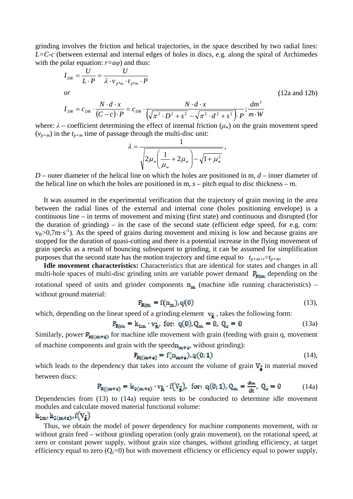grinding involves the friction and helical trajectories, in the space described by two radial lines: *L=C-c* (between external and internal edges of holes in discs, e.g. along the spiral of Archimedes with the polar equation:  $r=a\varphi$ ) and thus:

$$
I_{DR} = \frac{U}{L \cdot P} = \frac{U}{\lambda \cdot v_{p*m} \cdot t_{p*m} \cdot P}
$$
  
or  

$$
I_{DR} = c_{DR} \cdot \frac{N \cdot d \cdot x}{(C - c) \cdot P} = c_{DR} \cdot \frac{N \cdot d \cdot x}{\left(\sqrt{\pi^2 \cdot D^2 + s^2} - \sqrt{\pi^2 \cdot d^2 + s^2}\right) \cdot P}; \frac{dm^3}{m \cdot W}
$$
(12a and 12b)

where:  $\lambda$  – coefficient determining the effect of internal friction ( $\mu_w$ ) on the grain movement speed  $(v_{p+m})$  in the  $t_{p+m}$  time of passage through the multi-disc unit:

$$
\lambda = \frac{1}{\sqrt{2\mu_w \left(\frac{1}{\mu_w} + 2\mu_w\right) - \sqrt{1 + \mu_w^2}}},
$$

*D* – outer diameter of the helical line on which the holes are positioned in m, *d* – inner diameter of the helical line on which the holes are positioned in m, *s* – pitch equal to disc thickness – m.

It was assumed in the experimental verification that the trajectory of grain moving in the area between the radial lines of the external and internal cone (holes positioning envelope) is a continuous line – in terms of movement and mixing (first state) and continuous and disrupted (for the duration of grinding) – in the case of the second state (efficient edge speed, for e.g. corn:  $v_R > 0.7$ m·s<sup>-1</sup>). As the speed of grains during movement and mixing is low and because grains are stopped for the duration of quasi-cutting and there is a potential increase in the flying movement of grain specks as a result of bouncing subsequent to grinding, it can be assumed for simplification purposes that the second state has the motion trajectory and time equal to  $t_{p+m+r}=t_{p+m}$ .

**Idle movement characteristics:** Characteristics that are identical for states and changes in all multi-hole spaces of multi-disc grinding units are variable power demand  $\mathbf{P}_{\text{Rim}}$  depending on the rotational speed of units and grinder components  $n_m$  (machine idle running characteristics) – without ground material:

$$
P_{\text{Rim}} = f(n_m), q(0) \tag{13},
$$

which, depending on the linear speed of a grinding element  $v_{\overline{R}}$ , takes the following form:

$$
\mathbf{P}_{\mathbf{R}\mid\mathbf{m}} = \mathbf{k}_{1\mathbf{m}} \cdot \mathbf{v}_{\mathbf{R}'} \text{ for: } \mathbf{q}(\mathbf{0}), \mathbf{Q}_{\mathbf{m}} = \mathbf{0}, \ \mathbf{Q}_{\mathbf{c}} = \mathbf{0} \tag{13a}
$$

Similarly, power  $P_{\text{N}(\text{m}+\text{z})}$  for machine idle movement with grain (feeding with grain q, movement of machine components and grain with the speed  $n_{m+n}$ , without grinding):

$$
\mathbf{P}_{\mathbf{Rj(m+a)}} = \mathbf{f}(\mathbf{n}_{\mathbf{m+a}}), \mathbf{q(0,1)} \tag{14},
$$

which leads to the dependency that takes into account the volume of grain  $V_{\vec{e}}$  in material moved between discs:

$$
P_{Rj(m+z)} = k_{2(m+z)} \cdot v_{\bar{R}} \cdot f(V_{\bar{g}}), \text{ for: } q(0;1), Q_m = \frac{dm}{dt}, Q_c = 0 \tag{14a}
$$

Dependencies from (13) to (14a) require tests to be conducted to determine idle movement modules and calculate moved material functional volume:

# $k_{1m}$ ,  $k_{2(m+2)}$ ,  $f(V_a)$

Thus, we obtain the model of power dependency for machine components movement, with or without grain feed – without grinding operation (only grain movement), on the rotational speed, at zero or constant power supply, without grain size changes, without grinding efficiency, at target efficiency equal to zero  $(Q<sub>c</sub>=0)$  but with movement efficiency or efficiency equal to power supply,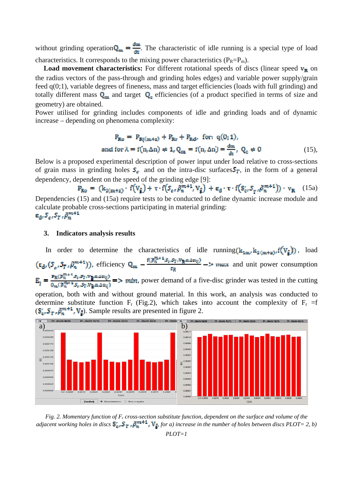without grinding operation  $Q_m = \frac{dm}{dt}$ . The characteristic of idle running is a special type of load characteristics. It corresponds to the mixing power characteristics ( $P_R = P_m$ ).

**Load movement characteristics:** For different rotational speeds of discs (linear speed  $v_{R}$  on the radius vectors of the pass-through and grinding holes edges) and variable power supply/grain feed q(0;1), variable degrees of fineness, mass and target efficiencies (loads with full grinding) and totally different mass  $Q_m$  and target  $Q_c$  efficiencies (of a product specified in terms of size and geometry) are obtained.

Power utilised for grinding includes components of idle and grinding loads and of dynamic increase – depending on phenomena complexity:

$$
P_{\text{R}_0} = P_{\text{Rj}(m+a)} + P_{\text{R}r} + P_{\text{Rd}r} \text{ for: } q(0;1),
$$
  
and for  $\lambda = f(n, \Delta n) \neq 1$ ,  $Q_m = f(n, \Delta n) = \frac{dm}{dt}$ ,  $Q_c \neq 0$  (15),

Below is a proposed experimental description of power input under load relative to cross-sections of grain mass in grinding holes  $S_c$  and on the intra-disc surfaces  $S_T$ , in the form of a general dependency, dependent on the speed of the grinding edge [9]:<br>  $F_{Ro} = (k_{2(m+z)} \cdot f(V_{\bar{g}}) + \tau \cdot f(S_{\epsilon}, \tilde{\rho}_{n}^{m+1}, V_{\bar{g}}) + \epsilon_{d} \cdot \tau \cdot f(S_{c}, S_{\tau}, \tilde{\rho}_{n}^{m+1})) \cdot v_{R}$ 

 (15a) Dependencies (15) and (15a) require tests to be conducted to define dynamic increase module and calculate probable cross-sections participating in material grinding:  $\varepsilon_{\rm d}$ ,  $S_{\varepsilon}$ ,  $S_{T}$ ,  $\tilde{\rho}_{n}^{m+1}$ 

#### **3. Indicators analysis results**

In order to determine the characteristics of idle running  $(\mathbf{k}_{1m}, \mathbf{k}_{2(m+z)}, f(\mathbf{V}_{\bar{\mathbf{s}}}))$ , load  $(\epsilon_d, (S_e, S_{\overline{t}}, \tilde{\rho}_n^{m+1}))$ , efficiency  $Q_m - \frac{f(\tilde{\rho}_n^{m+1}, S_e, S_{\overline{t}}, V_{\overline{R}}, n, \Delta m_{\overline{t}})}{\epsilon_m}$  -> max and unit power consumption  $E_j = \frac{\mathbf{F}_R(\mathbf{F}_n^{m+1}, \mathbf{F}_q, \mathbf{F}_l, \mathbf{V}_m, \Delta m_l)}{\rho_m(\mathbf{F}_n^{m+1}, \mathbf{F}_q, \mathbf{F}_l, \mathbf{V}_m, \Delta m_l)}$  => mtm, power demand of a five-disc grinder was tested in the cutting operation, both with and without ground material. In this work, an analysis was conducted to determine substitute function  $F_r$  (Fig.2), which takes into account the complexity of  $F_r = f$  $({\bf S}_{\alpha}^{\prime}, {\bf S}_{\overline{T}}, \tilde{\rho}_{n}^{m+1}, {\bf V}_{\overline{s}})$ . Sample results are presented in figure 2.



*Fig. 2. Momentary function of Fr cross-section substitute function, dependent on the surface and volume of the adjacent working holes in discs*  $S_0$ ,  $S_T$ ,  $\tilde{\beta}_m^{m+1}$ ,  $V_{\bar{F}}$  for a) increase in the number of holes between discs PLOT= 2, b) *PLOT=1*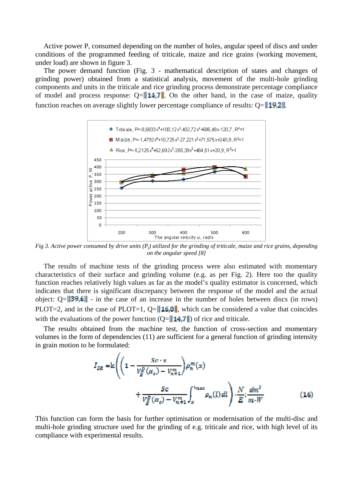Active power P, consumed depending on the number of holes, angular speed of discs and under conditions of the programmed feeding of triticale, maize and rice grains (working movement, under load) are shown in figure 3.

The power demand function (Fig. 3 - mathematical description of states and changes of grinding power) obtained from a statistical analysis, movement of the multi-hole grinding components and units in the triticale and rice grinding process demonstrate percentage compliance of model and process response:  $Q = ||\mathbf{14}||$ . On the other hand, in the case of maize, quality function reaches on average slightly lower percentage compliance of results:  $Q = \frac{\|49.2\|}{\|60.2\|}$ .



*Fig 3. Active power consumed by drive units (Pj) utilized for the grinding of triticale, maize and rice grains, depending on the angular speed [8]* 

The results of machine tests of the grinding process were also estimated with momentary characteristics of their surface and grinding volume (e.g. as per Fig. 2). Here too the quality function reaches relatively high values as far as the model's quality estimator is concerned, which indicates that there is significant discrepancy between the response of the model and the actual object:  $Q = \|39.6\|$  - in the case of an increase in the number of holes between discs (in rows) PLOT=2, and in the case of PLOT=1, Q= $||16,8||$ , which can be considered a value that coincides with the evaluations of the power function  $(Q= || 14.7 ||)$  of rice and triticale.

The results obtained from the machine test, the function of cross-section and momentary volumes in the form of dependencies (11) are sufficient for a general function of grinding intensity in grain motion to be formulated:

$$
I_{DR} = \text{ks}\left(\left(1 - \frac{Sc \cdot x}{V_g^D(\alpha_o) - V_{n+1}^m}\right) \rho_n^m(x) + \frac{Sc}{V_g^D(\alpha_o) - V_{n+1}^m} \int_x^{\ell_{max}} \rho_n(l) \, dl\right) \cdot \frac{N}{E} \cdot \frac{dm^2}{m \cdot W} \tag{16}
$$

This function can form the basis for further optimisation or modernisation of the multi-disc and multi-hole grinding structure used for the grinding of e.g. triticale and rice, with high level of its compliance with experimental results.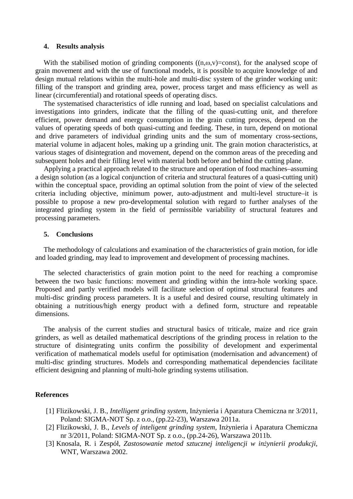#### **4. Results analysis**

With the stabilised motion of grinding components  $((n, \omega, v) = \text{const})$ , for the analysed scope of grain movement and with the use of functional models, it is possible to acquire knowledge of and design mutual relations within the multi-hole and multi-disc system of the grinder working unit: filling of the transport and grinding area, power, process target and mass efficiency as well as linear (circumferential) and rotational speeds of operating discs.

The systematised characteristics of idle running and load, based on specialist calculations and investigations into grinders, indicate that the filling of the quasi-cutting unit, and therefore efficient, power demand and energy consumption in the grain cutting process, depend on the values of operating speeds of both quasi-cutting and feeding. These, in turn, depend on motional and drive parameters of individual grinding units and the sum of momentary cross-sections, material volume in adjacent holes, making up a grinding unit. The grain motion characteristics, at various stages of disintegration and movement, depend on the common areas of the preceding and subsequent holes and their filling level with material both before and behind the cutting plane.

Applying a practical approach related to the structure and operation of food machines–assuming a design solution (as a logical conjunction of criteria and structural features of a quasi-cutting unit) within the conceptual space, providing an optimal solution from the point of view of the selected criteria including objective, minimum power, auto-adjustment and multi-level structure–it is possible to propose a new pro-developmental solution with regard to further analyses of the integrated grinding system in the field of permissible variability of structural features and processing parameters.

#### **5. Conclusions**

The methodology of calculations and examination of the characteristics of grain motion, for idle and loaded grinding, may lead to improvement and development of processing machines.

The selected characteristics of grain motion point to the need for reaching a compromise between the two basic functions: movement and grinding within the intra-hole working space. Proposed and partly verified models will facilitate selection of optimal structural features and multi-disc grinding process parameters. It is a useful and desired course, resulting ultimately in obtaining a nutritious/high energy product with a defined form, structure and repeatable dimensions.

The analysis of the current studies and structural basics of triticale, maize and rice grain grinders, as well as detailed mathematical descriptions of the grinding process in relation to the structure of disintegrating units confirm the possibility of development and experimental verification of mathematical models useful for optimisation (modernisation and advancement) of multi-disc grinding structures. Models and corresponding mathematical dependencies facilitate efficient designing and planning of multi-hole grinding systems utilisation.

### **References**

- [1] Flizikowski, J. B., *Intelligent grinding system,* Inżynieria i Aparatura Chemiczna nr 3/2011, Poland: SIGMA-NOT Sp. z o.o., (pp.22-23), Warszawa 2011a.
- [2] Flizikowski, J. B., *Levels of inteligent grinding system,* Inżynieria i Aparatura Chemiczna nr 3/2011, Poland: SIGMA-NOT Sp. z o.o., (pp.24-26), Warszawa 2011b.
- [3] Knosala, R. i Zespół, *Zastosowanie metod sztucznej inteligencji w inżynierii produkcji,* WNT, Warszawa 2002.